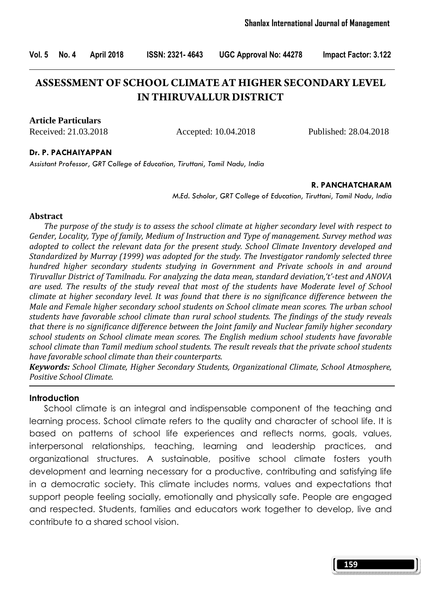# **ASSESSMENT OF SCHOOL CLIMATE AT HIGHER SECONDARY LEVEL IN THIRUVALLUR DISTRICT**

**Article Particulars**

Received: 21.03.2018 Accepted: 10.04.2018 Published: 28.04.2018

#### Dr. P. PACHAIYAPPAN

Assistant Professor, GRT College of Education, Tiruttani, Tamil Nadu, India

#### R. PANCHATCHARAM

M.Ed. Scholar, GRT College of Education, Tiruttani, Tamil Nadu, India

#### Abstract

 The purpose of the study is to assess the school climate at higher secondary level with respect to Gender, Locality, Type of family, Medium of Instruction and Type of management. Survey method was adopted to collect the relevant data for the present study. School Climate Inventory developed and Standardized by Murray (1999) was adopted for the study. The Investigator randomly selected three hundred higher secondary students studying in Government and Private schools in and around Tiruvallur District of Tamilnadu. For analyzing the data mean, standard deviation,'t'-test and ANOVA are used. The results of the study reveal that most of the students have Moderate level of School climate at higher secondary level. It was found that there is no significance difference between the Male and Female higher secondary school students on School climate mean scores. The urban school students have favorable school climate than rural school students. The findings of the study reveals that there is no significance difference between the Joint family and Nuclear family higher secondary school students on School climate mean scores. The English medium school students have favorable school climate than Tamil medium school students. The result reveals that the private school students have favorable school climate than their counterparts.

Keywords: School Climate, Higher Secondary Students, Organizational Climate, School Atmosphere, Positive School Climate.

#### **Introduction**

 School climate is an integral and indispensable component of the teaching and learning process. School climate refers to the quality and character of school life. It is based on patterns of school life experiences and reflects norms, goals, values, interpersonal relationships, teaching, learning and leadership practices, and organizational structures. A sustainable, positive school climate fosters youth development and learning necessary for a productive, contributing and satisfying life in a democratic society. This climate includes norms, values and expectations that support people feeling socially, emotionally and physically safe. People are engaged and respected. Students, families and educators work together to develop, live and contribute to a shared school vision.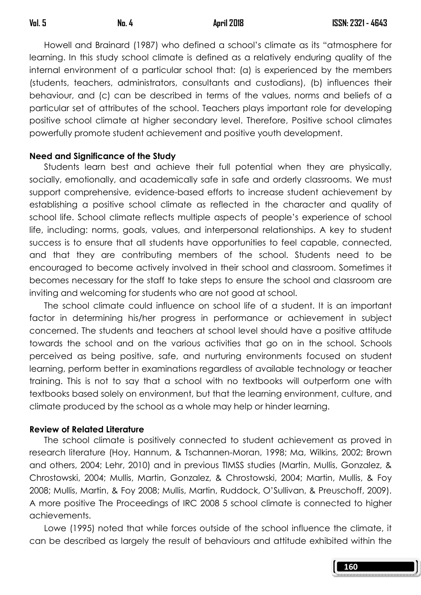Howell and Brainard (1987) who defined a school's climate as its "atmosphere for learning. In this study school climate is defined as a relatively enduring quality of the internal environment of a particular school that: (a) is experienced by the members (students, teachers, administrators, consultants and custodians), (b) influences their behaviour, and (c) can be described in terms of the values, norms and beliefs of a particular set of attributes of the school. Teachers plays important role for developing positive school climate at higher secondary level. Therefore, Positive school climates powerfully promote student achievement and positive youth development.

### Need and Significance of the Study

 Students learn best and achieve their full potential when they are physically, socially, emotionally, and academically safe in safe and orderly classrooms. We must support comprehensive, evidence-based efforts to increase student achievement by establishing a positive school climate as reflected in the character and quality of school life. School climate reflects multiple aspects of people's experience of school life, including: norms, goals, values, and interpersonal relationships. A key to student success is to ensure that all students have opportunities to feel capable, connected, and that they are contributing members of the school. Students need to be encouraged to become actively involved in their school and classroom. Sometimes it becomes necessary for the staff to take steps to ensure the school and classroom are inviting and welcoming for students who are not good at school.

 The school climate could influence on school life of a student. It is an important factor in determining his/her progress in performance or achievement in subject concerned. The students and teachers at school level should have a positive attitude towards the school and on the various activities that go on in the school. Schools perceived as being positive, safe, and nurturing environments focused on student learning, perform better in examinations regardless of available technology or teacher training. This is not to say that a school with no textbooks will outperform one with textbooks based solely on environment, but that the learning environment, culture, and climate produced by the school as a whole may help or hinder learning.

### Review of Related Literature

 The school climate is positively connected to student achievement as proved in research literature (Hoy, Hannum, & Tschannen-Moran, 1998; Ma, Wilkins, 2002; Brown and others, 2004; Lehr, 2010) and in previous TIMSS studies (Martin, Mullis, Gonzalez, & Chrostowski, 2004; Mullis, Martin, Gonzalez, & Chrostowski, 2004; Martin, Mullis, & Foy 2008; Mullis, Martin, & Foy 2008; Mullis, Martin, Ruddock, O'Sullivan, & Preuschoff, 2009). A more positive The Proceedings of IRC 2008 5 school climate is connected to higher achievements.

 Lowe (1995) noted that while forces outside of the school influence the climate, it can be described as largely the result of behaviours and attitude exhibited within the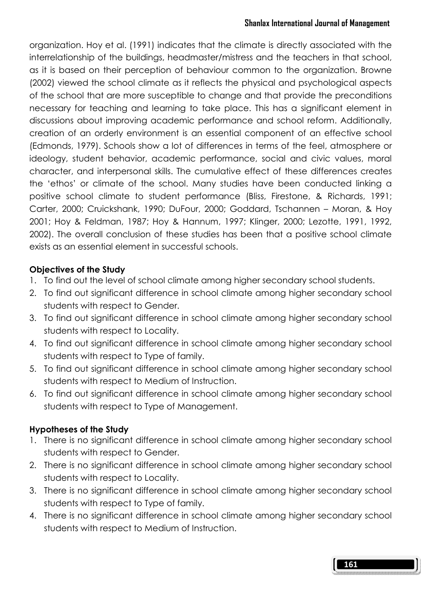### Shanlax International Journal of Management

organization. Hoy et al. (1991) indicates that the climate is directly associated with the interrelationship of the buildings, headmaster/mistress and the teachers in that school, as it is based on their perception of behaviour common to the organization. Browne (2002) viewed the school climate as it reflects the physical and psychological aspects of the school that are more susceptible to change and that provide the preconditions necessary for teaching and learning to take place. This has a significant element in discussions about improving academic performance and school reform. Additionally, creation of an orderly environment is an essential component of an effective school (Edmonds, 1979). Schools show a lot of differences in terms of the feel, atmosphere or ideology, student behavior, academic performance, social and civic values, moral character, and interpersonal skills. The cumulative effect of these differences creates the 'ethos' or climate of the school. Many studies have been conducted linking a positive school climate to student performance (Bliss, Firestone, & Richards, 1991; Carter, 2000; Cruickshank, 1990; DuFour, 2000; Goddard, Tschannen – Moran, & Hoy 2001; Hoy & Feldman, 1987; Hoy & Hannum, 1997; Klinger, 2000; Lezotte, 1991, 1992, 2002). The overall conclusion of these studies has been that a positive school climate exists as an essential element in successful schools.

# Objectives of the Study

- 1. To find out the level of school climate among higher secondary school students.
- 2. To find out significant difference in school climate among higher secondary school students with respect to Gender.
- 3. To find out significant difference in school climate among higher secondary school students with respect to Locality.
- 4. To find out significant difference in school climate among higher secondary school students with respect to Type of family.
- 5. To find out significant difference in school climate among higher secondary school students with respect to Medium of Instruction.
- 6. To find out significant difference in school climate among higher secondary school students with respect to Type of Management.

# Hypotheses of the Study

- 1. There is no significant difference in school climate among higher secondary school students with respect to Gender.
- 2. There is no significant difference in school climate among higher secondary school students with respect to Locality.
- 3. There is no significant difference in school climate among higher secondary school students with respect to Type of family.
- 4. There is no significant difference in school climate among higher secondary school students with respect to Medium of Instruction.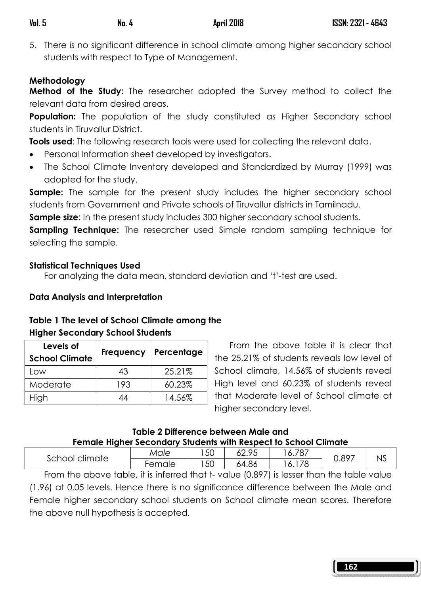5. There is no significant difference in school climate among higher secondary school students with respect to Type of Management.

# Methodology

**Method of the Study:** The researcher adopted the Survey method to collect the relevant data from desired areas.

**Population:** The population of the study constituted as Higher Secondary school students in Tiruvallur District.

Tools used: The following research tools were used for collecting the relevant data.

- Personal Information sheet developed by investigators.
- The School Climate Inventory developed and Standardized by Murray (1999) was adopted for the study.

**Sample:** The sample for the present study includes the higher secondary school students from Government and Private schools of Tiruvallur districts in Tamilnadu.

**Sample size:** In the present study includes 300 higher secondary school students.

**Sampling Technique:** The researcher used Simple random sampling technique for selecting the sample.

# Statistical Techniques Used

For analyzing the data mean, standard deviation and 't'-test are used.

# Data Analysis and Interpretation

# Table 1 The level of School Climate among the

# Higher Secondary School Students

| Levels of<br><b>School Climate</b> | Frequency | Percentage |
|------------------------------------|-----------|------------|
| LOW                                | 43        | 25.21%     |
| Moderate                           | 193       | 60.23%     |
| High                               |           | 14.56%     |

From the above table it is clear that the 25.21% of students reveals low level of School climate, 14.56% of students reveal High level and 60.23% of students reveal that Moderate level of School climate at higher secondary level.

### Table 2 Difference between Male and Female Higher Secondary Students with Respect to School Climate

|                | <u>. Sillard Lughtsi seestimali sisasine mini neepeel is selleel Silliale</u> |    |                |       |       |    |
|----------------|-------------------------------------------------------------------------------|----|----------------|-------|-------|----|
| School climate | Male                                                                          | 50 | IO OF<br>02.7J | 6.787 | J.897 | NS |
|                | Female                                                                        | 50 | 64.86          | 6.178 |       |    |

From the above table, it is inferred that t- value (0.897) is lesser than the table value (1.96) at 0.05 levels. Hence there is no significance difference between the Male and Female higher secondary school students on School climate mean scores. Therefore the above null hypothesis is accepted.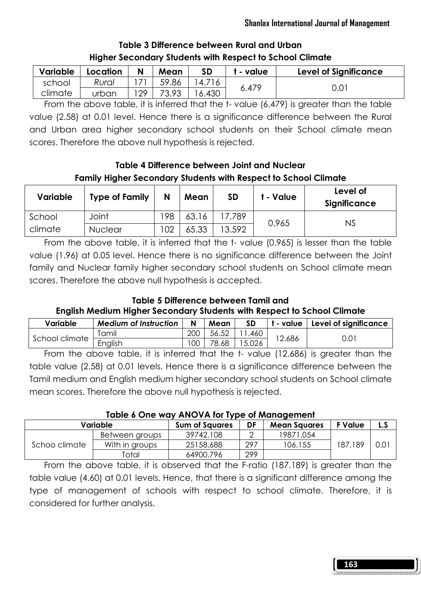| Variable | Location | N  | Mean  | SD     | - value | <b>Level of Significance</b> |
|----------|----------|----|-------|--------|---------|------------------------------|
| school   | Rural    |    | 59.86 | 14.716 |         |                              |
| climate  | urban    | 29 | 73.93 | 6.430  | 6.479   | 0.01                         |

# Table 3 Difference between Rural and Urban Higher Secondary Students with Respect to School Climate

From the above table, it is inferred that the t- value (6.479) is greater than the table value (2.58) at 0.01 level. Hence there is a significance difference between the Rural and Urban area higher secondary school students on their School climate mean scores. Therefore the above null hypothesis is rejected.

Table 4 Difference between Joint and Nuclear Family Higher Secondary Students with Respect to School Climate

| Variable | <b>Type of Family</b> | N   | Mean  | SD     | t - Value | Level of<br>Significance |
|----------|-----------------------|-----|-------|--------|-----------|--------------------------|
| School   | Joint                 | 198 | 63.16 | 17.789 | 0.965     | NS                       |
| climate  | Nuclear               | 102 | 65.33 | 13.592 |           |                          |

From the above table, it is inferred that the t- value (0.965) is lesser than the table value (1.96) at 0.05 level. Hence there is no significance difference between the Joint family and Nuclear family higher secondary school students on School climate mean scores. Therefore the above null hypothesis is accepted.

# Table 5 Difference between Tamil and English Medium Higher Secondary Students with Respect to School Climate

| Variable       | <b>Medium of Instruction</b> | N   | Mean  | SD    | t - value | Level of significance |
|----------------|------------------------------|-----|-------|-------|-----------|-----------------------|
| School climate | Tamil                        | 200 | 56.52 | 1.460 |           |                       |
|                | English                      | 100 | 78.68 | 5.026 | 12.686    | 0.01                  |
|                |                              |     |       |       | .         |                       |

From the above table, it is inferred that the t- value (12.686) is greater than the table value (2.58) at 0.01 levels. Hence there is a significance difference between the Tamil medium and English medium higher secondary school students on School climate mean scores. Therefore the above null hypothesis is rejected.

### Table 6 One way ANOVA for Type of Management

| Variable      |                | <b>Sum of Squares</b> | DF  | <b>Mean Squares</b> | F Value | L.J           |  |
|---------------|----------------|-----------------------|-----|---------------------|---------|---------------|--|
|               | Between groups | 39742.108             |     | 19871.054           |         |               |  |
| Schoo climate | With in groups | 25158.688             | 297 | 106.155             | 187.189 | $0.0^{\circ}$ |  |
|               | Total          | 64900.796             | 299 |                     |         |               |  |

 From the above table, it is observed that the F-ratio (187.189) is greater than the table value (4.60) at 0.01 levels. Hence, that there is a significant difference among the type of management of schools with respect to school climate. Therefore, it is considered for further analysis.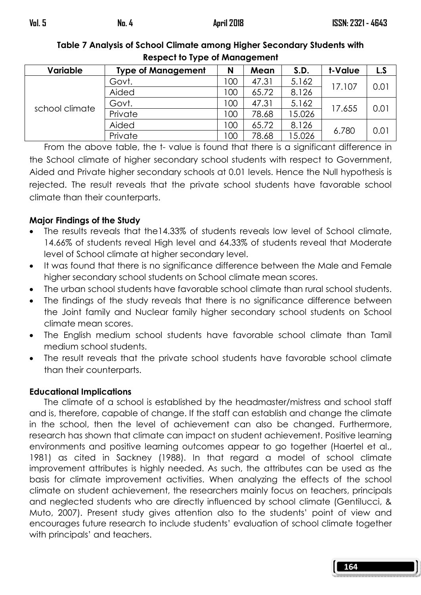| <b>Variable</b> | <b>Type of Management</b> | N   | Mean  | S.D.   | t-Value | L.S  |  |  |  |  |
|-----------------|---------------------------|-----|-------|--------|---------|------|--|--|--|--|
| school climate  | Govt.                     | 100 | 47.31 | 5.162  |         | 0.01 |  |  |  |  |
|                 | Aided                     | 100 | 65.72 | 8.126  | 17.107  |      |  |  |  |  |
|                 | Govt.                     | 100 | 47.31 | 5.162  |         | 0.01 |  |  |  |  |
|                 | Private                   | 100 | 78.68 | 15.026 | 17.655  |      |  |  |  |  |
|                 | Aided                     | 100 | 65.72 | 8.126  | 6.780   | 0.01 |  |  |  |  |
|                 | Private                   | 100 | 78.68 | 5.026  |         |      |  |  |  |  |

Table 7 Analysis of School Climate among Higher Secondary Students with Respect to Type of Management

From the above table, the t- value is found that there is a significant difference in the School climate of higher secondary school students with respect to Government, Aided and Private higher secondary schools at 0.01 levels. Hence the Null hypothesis is rejected. The result reveals that the private school students have favorable school climate than their counterparts.

# Major Findings of the Study

- The results reveals that the14.33% of students reveals low level of School climate, 14.66% of students reveal High level and 64.33% of students reveal that Moderate level of School climate at higher secondary level.
- It was found that there is no significance difference between the Male and Female higher secondary school students on School climate mean scores.
- The urban school students have favorable school climate than rural school students.
- The findings of the study reveals that there is no significance difference between the Joint family and Nuclear family higher secondary school students on School climate mean scores.
- The English medium school students have favorable school climate than Tamil medium school students.
- The result reveals that the private school students have favorable school climate than their counterparts.

# Educational Implications

 The climate of a school is established by the headmaster/mistress and school staff and is, therefore, capable of change. If the staff can establish and change the climate in the school, then the level of achievement can also be changed. Furthermore, research has shown that climate can impact on student achievement. Positive learning environments and positive learning outcomes appear to go together (Haertel et al., 1981) as cited in Sackney (1988). In that regard a model of school climate improvement attributes is highly needed. As such, the attributes can be used as the basis for climate improvement activities. When analyzing the effects of the school climate on student achievement, the researchers mainly focus on teachers, principals and neglected students who are directly influenced by school climate (Gentilucci, & Muto, 2007). Present study gives attention also to the students' point of view and encourages future research to include students' evaluation of school climate together with principals' and teachers.